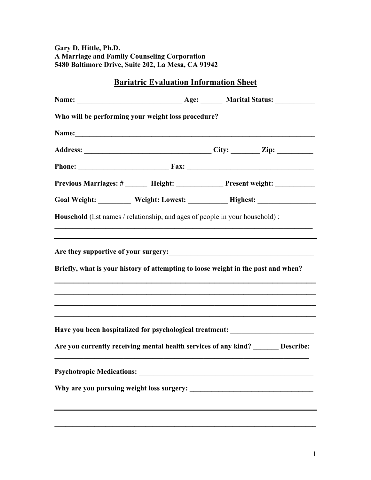**Gary D. Hittle, Ph.D. A Marriage and Family Counseling Corporation 5480 Baltimore Drive, Suite 202, La Mesa, CA 91942**

| <b>Bariatric Evaluation Information Sheet</b>                                                                                                                                                                                  |  |  |                                               |
|--------------------------------------------------------------------------------------------------------------------------------------------------------------------------------------------------------------------------------|--|--|-----------------------------------------------|
|                                                                                                                                                                                                                                |  |  |                                               |
| Who will be performing your weight loss procedure?                                                                                                                                                                             |  |  |                                               |
|                                                                                                                                                                                                                                |  |  |                                               |
|                                                                                                                                                                                                                                |  |  |                                               |
| Phone: Fax: Fax: Fax: Fax: Phone: Phone: Phone: Phone: Phone: Phone: Phone: Phone: Phone: Phone: Phone: Phone: Phone: Phone: Phone: Phone: Phone: Phone: Phone: Phone: Phone: Phone: Phone: Phone: Phone: Phone: Phone: Phone: |  |  |                                               |
| Previous Marriages: # ______ Height: _____________ Present weight: _____________                                                                                                                                               |  |  |                                               |
| Goal Weight: __________ Weight: Lowest: ____________ Highest: __________________                                                                                                                                               |  |  |                                               |
| Household (list names / relationship, and ages of people in your household) :                                                                                                                                                  |  |  |                                               |
|                                                                                                                                                                                                                                |  |  |                                               |
| Are they supportive of your surgery:<br><u>Letter and the contract of your surgery:</u>                                                                                                                                        |  |  |                                               |
| Briefly, what is your history of attempting to loose weight in the past and when?                                                                                                                                              |  |  |                                               |
|                                                                                                                                                                                                                                |  |  |                                               |
|                                                                                                                                                                                                                                |  |  |                                               |
|                                                                                                                                                                                                                                |  |  |                                               |
| Have you been hospitalized for psychological treatment: ________________________                                                                                                                                               |  |  |                                               |
| Are you currently receiving mental health services of any kind? _______ Describe:                                                                                                                                              |  |  |                                               |
|                                                                                                                                                                                                                                |  |  |                                               |
| Why are you pursuing weight loss surgery:                                                                                                                                                                                      |  |  | <u> 1980 - Andrea Andrew Maria (h. 1980).</u> |
|                                                                                                                                                                                                                                |  |  |                                               |
|                                                                                                                                                                                                                                |  |  |                                               |

 $\mathcal{L}_\mathcal{L} = \{ \mathcal{L}_\mathcal{L} = \{ \mathcal{L}_\mathcal{L} = \{ \mathcal{L}_\mathcal{L} = \{ \mathcal{L}_\mathcal{L} = \{ \mathcal{L}_\mathcal{L} = \{ \mathcal{L}_\mathcal{L} = \{ \mathcal{L}_\mathcal{L} = \{ \mathcal{L}_\mathcal{L} = \{ \mathcal{L}_\mathcal{L} = \{ \mathcal{L}_\mathcal{L} = \{ \mathcal{L}_\mathcal{L} = \{ \mathcal{L}_\mathcal{L} = \{ \mathcal{L}_\mathcal{L} = \{ \mathcal{L}_\mathcal{$